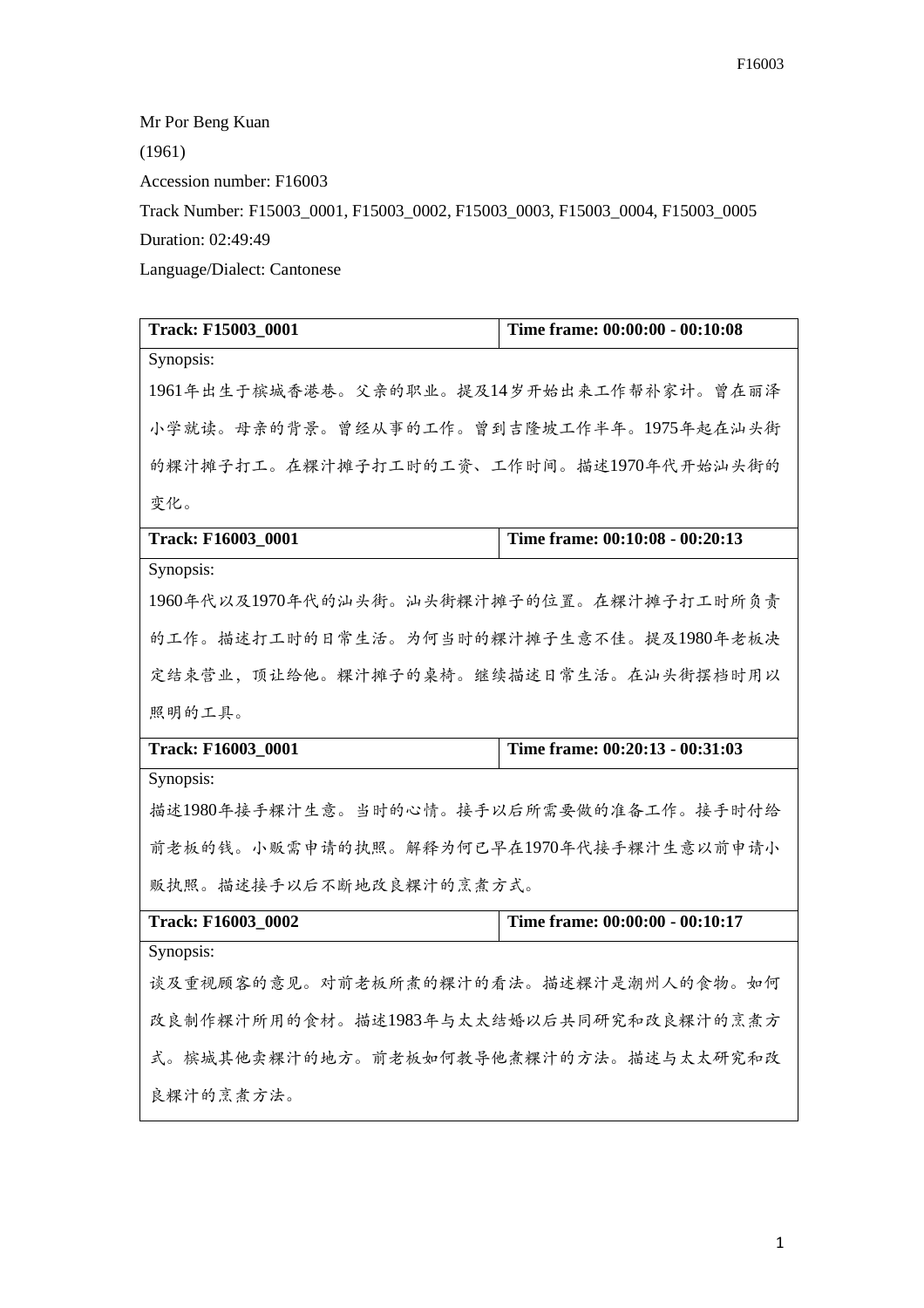Mr Por Beng Kuan (1961) Accession number: F16003 Track Number: F15003\_0001, F15003\_0002, F15003\_0003, F15003\_0004, F15003\_0005 Duration: 02:49:49 Language/Dialect: Cantonese

| Track: F15003_0001                        | Time frame: 00:00:00 - 00:10:08 |
|-------------------------------------------|---------------------------------|
| Synopsis:                                 |                                 |
| 1961年出生于槟城香港巷。父亲的职业。提及14岁开始出来工作帮补家计。曾在丽泽  |                                 |
| 小学就读。母亲的背景。曾经从事的工作。曾到吉隆坡工作半年。1975年起在汕头街   |                                 |
| 的粿汁摊子打工。在粿汁摊子打工时的工资、工作时间。描述1970年代开始汕头街的   |                                 |
| 变化。                                       |                                 |
| <b>Track: F16003 0001</b>                 | Time frame: 00:10:08 - 00:20:13 |
| Synopsis:                                 |                                 |
| 1960年代以及1970年代的汕头街。汕头街粿汁摊子的位置。在粿汁摊子打工时所负责 |                                 |
| 的工作。描述打工时的日常生活。为何当时的粿汁摊子生意不佳。提及1980年老板决   |                                 |
| 定结束营业,顶让给他。粿汁摊子的桌椅。继续描述日常生活。在汕头街摆档时用以     |                                 |
| 照明的工具。                                    |                                 |
| Track: F16003_0001                        |                                 |
|                                           | Time frame: 00:20:13 - 00:31:03 |
| Synopsis:                                 |                                 |
| 描述1980年接手粿汁生意。当时的心情。接手以后所需要做的准备工作。接手时付给   |                                 |
| 前老板的钱。小贩需申请的执照。解释为何已早在1970年代接手粿汁生意以前申请小   |                                 |
| 贩执照。描述接手以后不断地改良粿汁的烹煮方式。                   |                                 |
| <b>Track: F16003 0002</b>                 | Time frame: 00:00:00 - 00:10:17 |
| Synopsis:                                 |                                 |
| 谈及重视顾客的意见。对前老板所煮的粿汁的看法。描述粿汁是潮州人的食物。如何     |                                 |
| 改良制作粿汁所用的食材。描述1983年与太太结婚以后共同研究和改良粿汁的烹煮方   |                                 |
| 式。槟城其他卖粿汁的地方。前老板如何教导他煮粿汁的方法。描述与太太研究和改     |                                 |
| 良粿汁的烹煮方法。                                 |                                 |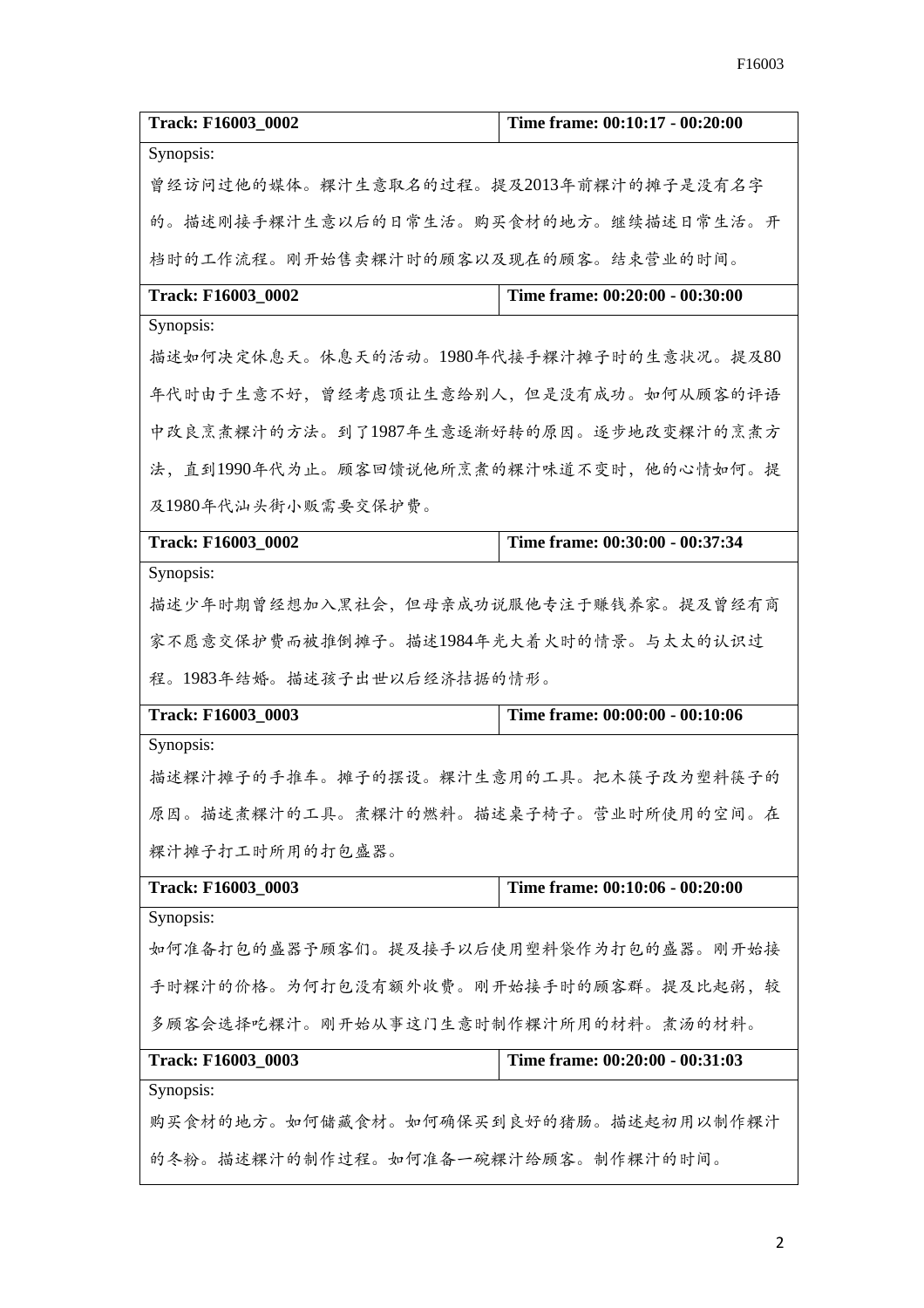| Track: F16003_0002                       | Time frame: 00:10:17 - 00:20:00 |
|------------------------------------------|---------------------------------|
| Synopsis:                                |                                 |
| 曾经访问过他的媒体。粿汁生意取名的过程。提及2013年前粿汁的摊子是没有名字   |                                 |
| 的。描述刚接手粿汁生意以后的日常生活。购买食材的地方。继续描述日常生活。开    |                                 |
| 档时的工作流程。刚开始售卖粿汁时的顾客以及现在的顾客。结束营业的时间。      |                                 |
| <b>Track: F16003 0002</b>                | Time frame: 00:20:00 - 00:30:00 |
| Synopsis:                                |                                 |
| 描述如何决定休息天。休息天的活动。1980年代接手粿汁摊子时的生意状况。提及80 |                                 |
| 年代时由于生意不好,曾经考虑顶让生意给别人,但是没有成功。如何从顾客的评语    |                                 |
| 中改良烹煮粿汁的方法。到了1987年生意逐渐好转的原因。逐步地改变粿汁的烹煮方  |                                 |
| 法,直到1990年代为止。顾客回馈说他所烹煮的粿汁味道不变时,他的心情如何。提  |                                 |
| 及1980年代汕头街小贩需要交保护费。                      |                                 |
| Track: F16003_0002                       | Time frame: 00:30:00 - 00:37:34 |
| Synopsis:                                |                                 |
| 描述少年时期曾经想加入黑社会,但母亲成功说服他专注于赚钱养家。提及曾经有商    |                                 |
| 家不愿意交保护费而被推倒摊子。描述1984年光大着火时的情景。与太太的认识过   |                                 |
| 程。1983年结婚。描述孩子出世以后经济拮据的情形。               |                                 |
| Track: F16003_0003                       | Time frame: 00:00:00 - 00:10:06 |
| Synopsis:                                |                                 |
| 描述粿汁摊子的手推车。摊子的摆设。粿汁生意用的工具。把木筷子改为塑料筷子的    |                                 |
| 原因。描述煮粿汁的工具。煮粿汁的燃料。描述桌子椅子。营业时所使用的空间。在    |                                 |
| 粿汁摊子打工时所用的打包盛器。                          |                                 |
| Track: F16003_0003                       | Time frame: 00:10:06 - 00:20:00 |
| Synopsis:                                |                                 |
| 如何准备打包的盛器予顾客们。提及接手以后使用塑料袋作为打包的盛器。刚开始接    |                                 |
| 手时粿汁的价格。为何打包没有额外收费。刚开始接手时的顾客群。提及比起粥,较    |                                 |
| 多顾客会选择吃粿汁。刚开始从事这门生意时制作粿汁所用的材料。煮汤的材料。     |                                 |
| Track: F16003_0003                       | Time frame: 00:20:00 - 00:31:03 |
| Synopsis:                                |                                 |
| 购买食材的地方。如何储藏食材。如何确保买到良好的猪肠。描述起初用以制作粿汁    |                                 |
| 的冬粉。描述粿汁的制作过程。如何准备一碗粿汁给顾客。制作粿汁的时间。       |                                 |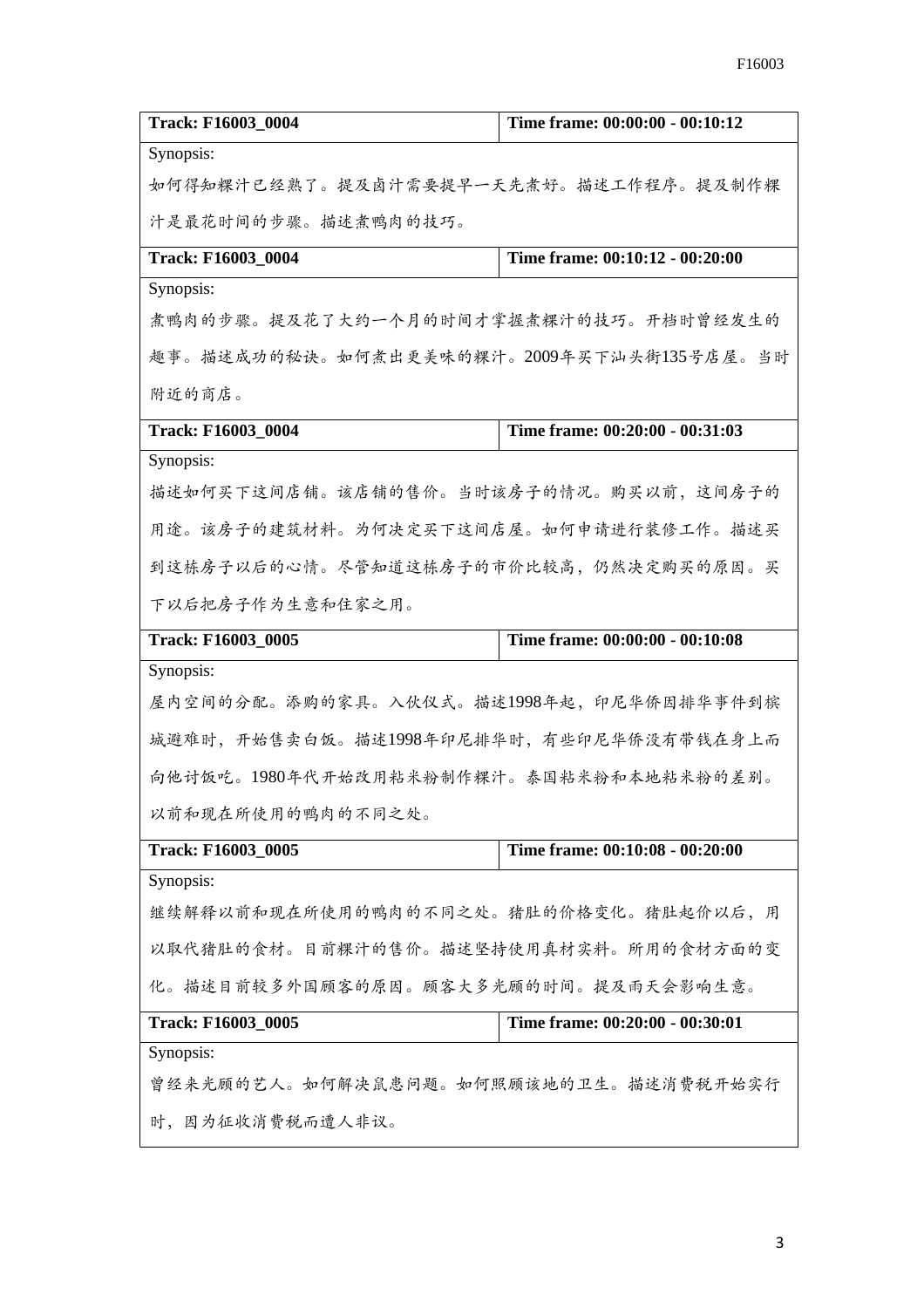| Track: F16003 0004                        | Time frame: 00:00:00 - 00:10:12 |
|-------------------------------------------|---------------------------------|
| Synopsis:                                 |                                 |
| 如何得知粿汁已经熟了。提及卤汁需要提早一天先煮好。描述工作程序。提及制作粿     |                                 |
| 汁是最花时间的步骤。描述煮鸭肉的技巧。                       |                                 |
| Track: F16003_0004                        | Time frame: 00:10:12 - 00:20:00 |
| Synopsis:                                 |                                 |
| 煮鸭肉的步骤。提及花了大约一个月的时间才掌握煮粿汁的技巧。开档时曾经发生的     |                                 |
| 趣事。描述成功的秘诀。如何煮出更美味的粿汁。2009年买下汕头街135号店屋。当时 |                                 |
| 附近的商店。                                    |                                 |
| Track: F16003_0004                        | Time frame: 00:20:00 - 00:31:03 |
| Synopsis:                                 |                                 |
| 描述如何买下这间店铺。该店铺的售价。当时该房子的情况。购买以前,这间房子的     |                                 |
| 用途。该房子的建筑材料。为何决定买下这间店屋。如何申请进行装修工作。描述买     |                                 |
| 到这栋房子以后的心情。尽管知道这栋房子的市价比较高,仍然决定购买的原因。买     |                                 |
| 下以后把房子作为生意和住家之用。                          |                                 |
| Track: F16003_0005                        | Time frame: 00:00:00 - 00:10:08 |
| Synopsis:                                 |                                 |
| 屋内空间的分配。添购的家具。入伙仪式。描述1998年起,印尼华侨因排华事件到槟   |                                 |
| 城避难时,开始售卖白饭。描述1998年印尼排华时,有些印尼华侨没有带钱在身上而   |                                 |
| 向他讨饭吃。1980年代开始改用粘米粉制作粿汁。泰国粘米粉和本地粘米粉的差别。   |                                 |
| 以前和现在所使用的鸭肉的不同之处。                         |                                 |
| Track: F16003_0005                        | Time frame: 00:10:08 - 00:20:00 |
| Synopsis:                                 |                                 |
| 继续解释以前和现在所使用的鸭肉的不同之处。猪肚的价格变化。猪肚起价以后,用     |                                 |
| 以取代猪肚的食材。目前粿汁的售价。描述坚持使用真材实料。所用的食材方面的变     |                                 |
| 化。描述目前较多外国顾客的原因。顾客大多光顾的时间。提及雨天会影响生意。      |                                 |
| Track: F16003_0005                        | Time frame: 00:20:00 - 00:30:01 |
| Synopsis:                                 |                                 |
| 曾经来光顾的艺人。如何解决鼠患问题。如何照顾该地的卫生。描述消费税开始实行     |                                 |
| 时,因为征收消费税而遭人非议。                           |                                 |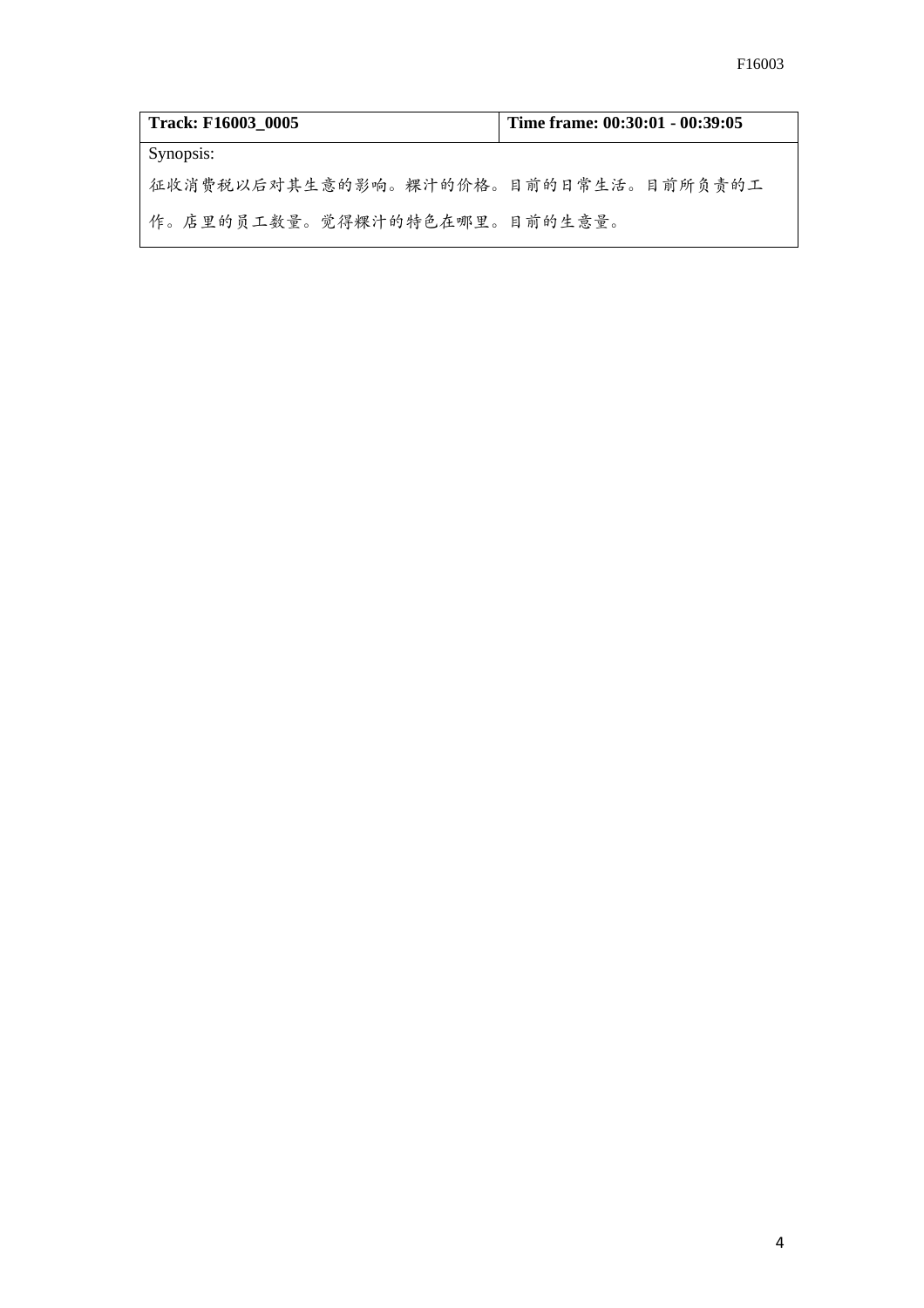| <b>Track: F16003 0005</b>            | Time frame: 00:30:01 - 00:39:05 |
|--------------------------------------|---------------------------------|
| Synopsis:                            |                                 |
| 征收消费税以后对其生意的影响。粿汁的价格。目前的日常生活。目前所负责的工 |                                 |
| 作。店里的员工数量。觉得粿汁的特色在哪里。目前的生意量。         |                                 |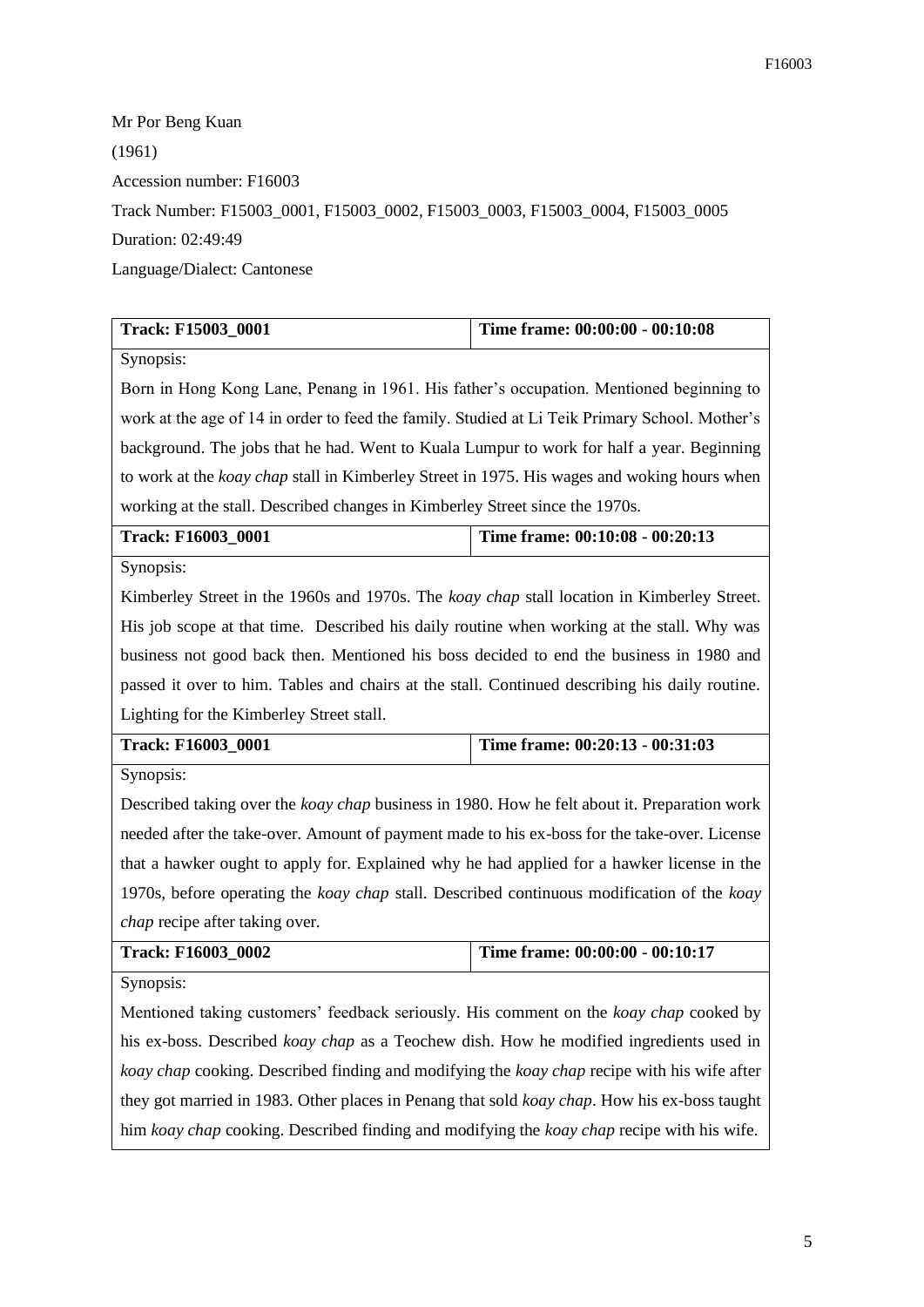Mr Por Beng Kuan (1961) Accession number: F16003 Track Number: F15003\_0001, F15003\_0002, F15003\_0003, F15003\_0004, F15003\_0005 Duration: 02:49:49 Language/Dialect: Cantonese

| Track: F15003_0001                                                                                   | Time frame: 00:00:00 - 00:10:08 |
|------------------------------------------------------------------------------------------------------|---------------------------------|
| Synopsis:                                                                                            |                                 |
| Born in Hong Kong Lane, Penang in 1961. His father's occupation. Mentioned beginning to              |                                 |
| work at the age of 14 in order to feed the family. Studied at Li Teik Primary School. Mother's       |                                 |
| background. The jobs that he had. Went to Kuala Lumpur to work for half a year. Beginning            |                                 |
| to work at the koay chap stall in Kimberley Street in 1975. His wages and woking hours when          |                                 |
| working at the stall. Described changes in Kimberley Street since the 1970s.                         |                                 |
| Track: F16003_0001                                                                                   | Time frame: 00:10:08 - 00:20:13 |
| Synopsis:                                                                                            |                                 |
| Kimberley Street in the 1960s and 1970s. The koay chap stall location in Kimberley Street.           |                                 |
| His job scope at that time. Described his daily routine when working at the stall. Why was           |                                 |
| business not good back then. Mentioned his boss decided to end the business in 1980 and              |                                 |
| passed it over to him. Tables and chairs at the stall. Continued describing his daily routine.       |                                 |
| Lighting for the Kimberley Street stall.                                                             |                                 |
| <b>Track: F16003 0001</b>                                                                            | Time frame: 00:20:13 - 00:31:03 |
| Synopsis:                                                                                            |                                 |
| Described taking over the <i>koay chap</i> business in 1980. How he felt about it. Preparation work  |                                 |
|                                                                                                      |                                 |
| needed after the take-over. Amount of payment made to his ex-boss for the take-over. License         |                                 |
| that a hawker ought to apply for. Explained why he had applied for a hawker license in the           |                                 |
| 1970s, before operating the koay chap stall. Described continuous modification of the koay           |                                 |
| <i>chap</i> recipe after taking over.                                                                |                                 |
| Track: F16003_0002                                                                                   | Time frame: 00:00:00 - 00:10:17 |
| Synopsis:                                                                                            |                                 |
| Mentioned taking customers' feedback seriously. His comment on the <i>koay chap</i> cooked by        |                                 |
| his ex-boss. Described <i>koay chap</i> as a Teochew dish. How he modified ingredients used in       |                                 |
| koay chap cooking. Described finding and modifying the koay chap recipe with his wife after          |                                 |
| they got married in 1983. Other places in Penang that sold <i>koay chap</i> . How his ex-boss taught |                                 |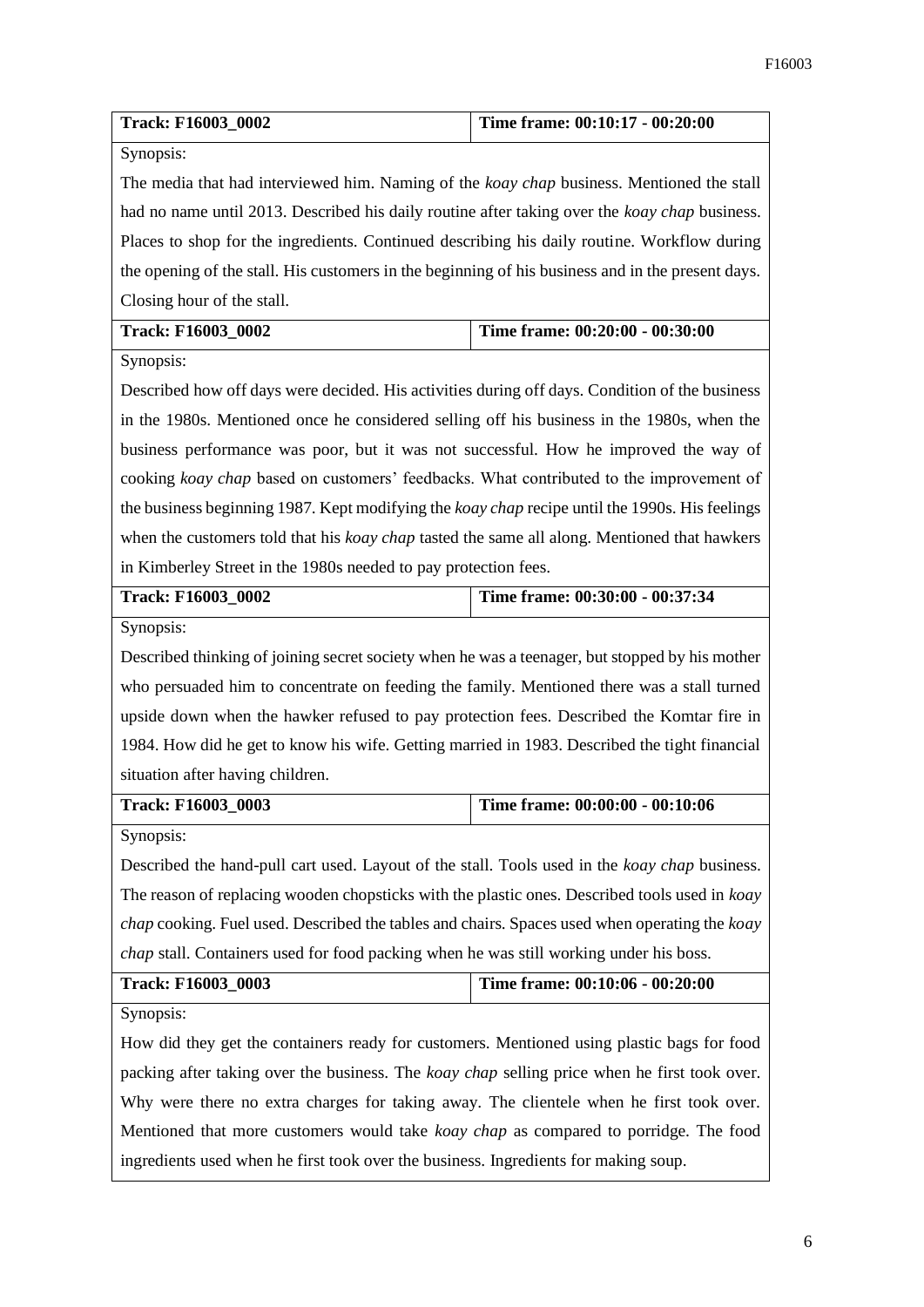| Track: F16003_0002                                                                                    | Time frame: 00:10:17 - 00:20:00 |
|-------------------------------------------------------------------------------------------------------|---------------------------------|
| Synopsis:                                                                                             |                                 |
| The media that had interviewed him. Naming of the <i>koay chap</i> business. Mentioned the stall      |                                 |
| had no name until 2013. Described his daily routine after taking over the <i>koay chap</i> business.  |                                 |
| Places to shop for the ingredients. Continued describing his daily routine. Workflow during           |                                 |
| the opening of the stall. His customers in the beginning of his business and in the present days.     |                                 |
| Closing hour of the stall.                                                                            |                                 |
| Track: F16003_0002                                                                                    | Time frame: 00:20:00 - 00:30:00 |
| Synopsis:                                                                                             |                                 |
| Described how off days were decided. His activities during off days. Condition of the business        |                                 |
| in the 1980s. Mentioned once he considered selling off his business in the 1980s, when the            |                                 |
| business performance was poor, but it was not successful. How he improved the way of                  |                                 |
| cooking koay chap based on customers' feedbacks. What contributed to the improvement of               |                                 |
| the business beginning 1987. Kept modifying the <i>koay chap</i> recipe until the 1990s. His feelings |                                 |
| when the customers told that his koay chap tasted the same all along. Mentioned that hawkers          |                                 |
| in Kimberley Street in the 1980s needed to pay protection fees.                                       |                                 |
| Track: F16003_0002                                                                                    | Time frame: 00:30:00 - 00:37:34 |
| Synopsis:                                                                                             |                                 |
| Described thinking of joining secret society when he was a teenager, but stopped by his mother        |                                 |
| who persuaded him to concentrate on feeding the family. Mentioned there was a stall turned            |                                 |
| upside down when the hawker refused to pay protection fees. Described the Komtar fire in              |                                 |
| 1984. How did he get to know his wife. Getting married in 1983. Described the tight financial         |                                 |
| situation after having children.                                                                      |                                 |
| Track: F16003_0003                                                                                    | Time frame: 00:00:00 - 00:10:06 |
| Synopsis:                                                                                             |                                 |
| Described the hand-pull cart used. Layout of the stall. Tools used in the koay chap business.         |                                 |
| The reason of replacing wooden chopsticks with the plastic ones. Described tools used in koay         |                                 |
| chap cooking. Fuel used. Described the tables and chairs. Spaces used when operating the koay         |                                 |
| chap stall. Containers used for food packing when he was still working under his boss.                |                                 |
| Track: F16003_0003                                                                                    | Time frame: 00:10:06 - 00:20:00 |
| Synopsis:                                                                                             |                                 |
| How did they get the containers ready for customers. Mentioned using plastic bags for food            |                                 |
| packing after taking over the business. The <i>koay chap</i> selling price when he first took over.   |                                 |
| Why were there no extra charges for taking away. The clientele when he first took over.               |                                 |
| Mentioned that more customers would take <i>koay chap</i> as compared to porridge. The food           |                                 |
| ingredients used when he first took over the business. Ingredients for making soup.                   |                                 |
|                                                                                                       |                                 |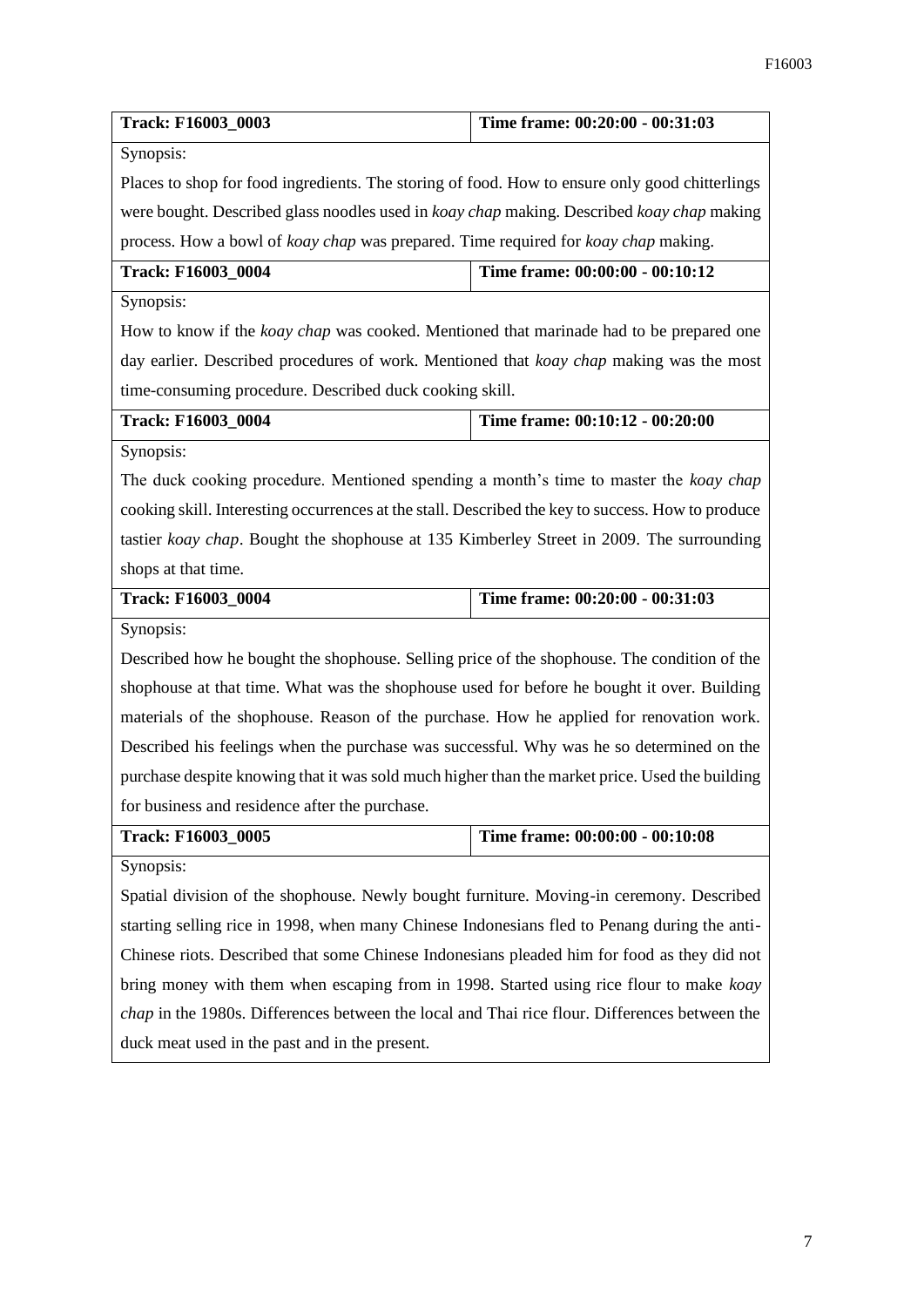| Track: F16003_0003                                                                                   | Time frame: 00:20:00 - 00:31:03 |  |
|------------------------------------------------------------------------------------------------------|---------------------------------|--|
| Synopsis:                                                                                            |                                 |  |
| Places to shop for food ingredients. The storing of food. How to ensure only good chitterlings       |                                 |  |
| were bought. Described glass noodles used in koay chap making. Described koay chap making            |                                 |  |
| process. How a bowl of <i>koay chap</i> was prepared. Time required for <i>koay chap</i> making.     |                                 |  |
| Track: F16003_0004                                                                                   | Time frame: 00:00:00 - 00:10:12 |  |
| Synopsis:                                                                                            |                                 |  |
| How to know if the <i>koay chap</i> was cooked. Mentioned that marinade had to be prepared one       |                                 |  |
| day earlier. Described procedures of work. Mentioned that koay chap making was the most              |                                 |  |
| time-consuming procedure. Described duck cooking skill.                                              |                                 |  |
| Track: F16003 0004                                                                                   | Time frame: 00:10:12 - 00:20:00 |  |
| Synopsis:                                                                                            |                                 |  |
| The duck cooking procedure. Mentioned spending a month's time to master the koay chap                |                                 |  |
| cooking skill. Interesting occurrences at the stall. Described the key to success. How to produce    |                                 |  |
| tastier koay chap. Bought the shophouse at 135 Kimberley Street in 2009. The surrounding             |                                 |  |
| shops at that time.                                                                                  |                                 |  |
|                                                                                                      |                                 |  |
| Track: F16003_0004                                                                                   | Time frame: 00:20:00 - 00:31:03 |  |
| Synopsis:                                                                                            |                                 |  |
| Described how he bought the shophouse. Selling price of the shophouse. The condition of the          |                                 |  |
| shophouse at that time. What was the shophouse used for before he bought it over. Building           |                                 |  |
| materials of the shophouse. Reason of the purchase. How he applied for renovation work.              |                                 |  |
| Described his feelings when the purchase was successful. Why was he so determined on the             |                                 |  |
| purchase despite knowing that it was sold much higher than the market price. Used the building       |                                 |  |
| for business and residence after the purchase.                                                       |                                 |  |
| Track: F16003_0005                                                                                   | Time frame: 00:00:00 - 00:10:08 |  |
| Synopsis:                                                                                            |                                 |  |
| Spatial division of the shophouse. Newly bought furniture. Moving-in ceremony. Described             |                                 |  |
| starting selling rice in 1998, when many Chinese Indonesians fled to Penang during the anti-         |                                 |  |
| Chinese riots. Described that some Chinese Indonesians pleaded him for food as they did not          |                                 |  |
| bring money with them when escaping from in 1998. Started using rice flour to make koay              |                                 |  |
| <i>chap</i> in the 1980s. Differences between the local and Thai rice flour. Differences between the |                                 |  |